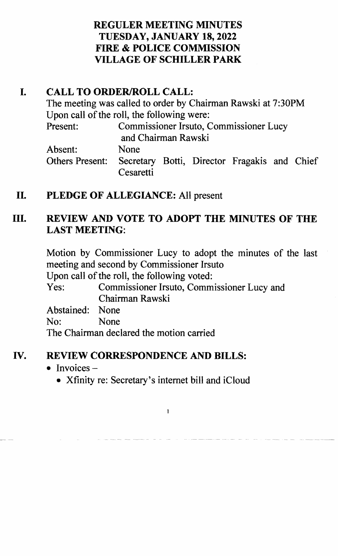### **REGULER MEETING MINUTES TUESDAY, JANUARY 18,2022 FIRE & POLICE COMMISSION VILLAGE OF SCHILLER PARK**

## **I. CALL TO ORDER/ROLL CALL:**

The meeting was called to order by Chairman Rawski at 7:30PM Upon call of the roll, the following were: Present: Commissioner Irsuto, Commissioner Lucy and Chairman Rawski Absent: None Others Present: Secretary Botti, Director Fragakis and Chief Cesaretti

## **II. PLEDGE OF ALLEGIANCE:** All present

## **III. REVIEW AND VOTE TO ADOPT THE MINUTES OF THE LAST MEETING:**

Motion by Commissioner Lucy to adopt the minutes of the last meeting and second by Commissioner Irsuto

Upon call of the roll, the following voted:

Yes: Commissioner Irsuto, Commissioner Lucy and Chairman Rawski

Abstained: None

No: None

The Chairman declared the motion carried

#### **IV. REVIEW CORRESPONDENCE AND BILLS:**

- Invoices  $-$ 
	- Xfinity re: Secretary's internet bill and iCloud

 $\mathbf{1}$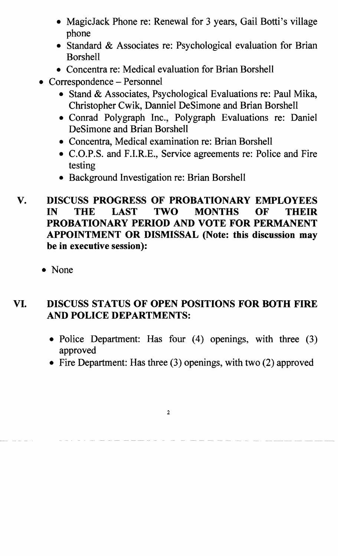- MagicJack Phone re: Renewal for 3 years, Gail Botti's village phone
- Standard & Associates re: Psychological evaluation for Brian Borshell
- Concentra re: Medical evaluation for Brian Borshell
- Correspondence Personnel
	- Stand & Associates, Psychological Evaluations re: Paul Mika, Christopher Cwik, Danniel DeSimone and Brian Borshell
	- Conrad Polygraph Inc., Polygraph Evaluations re: Daniel DeSimone and Brian Borshell
	- Concentra, Medical examination re: Brian Borshell
	- C.O.P.S. and F.I.R.E., Service agreements re: Police and Fire testing
	- Background Investigation re: Brian Borshell

### V. DISCUSS PROGRESS OF PROBATIONARY EMPLOYEES IN THE LAST TWO MONTHS OF THEIR PROBATIONARY PERIOD AND VOTE FOR PERMANENT APPOINTMENT OR DISMISSAL (Note: this discussion may be in executive session):

• None

## VI. DISCUSS STATUS OF OPEN POSITIONS FOR BOTH FIRE AND POLICE DEPARTMENTS:

- Police Department: Has four (4) openings, with three (3) approved
- Fire Department: Has three (3) openings, with two (2) approved

2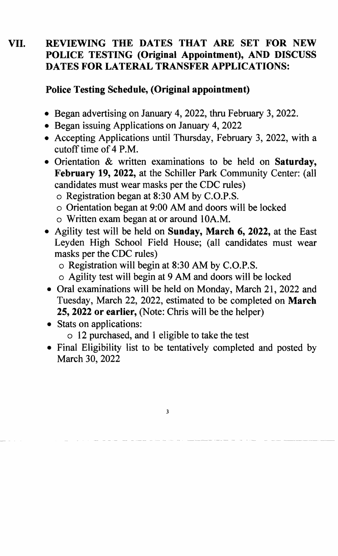### **VII. REVIEWING THE DATES THAT ARE SET FOR NEW POLICE TESTING (Original Appointment), AND DISCUSS DATES FOR LATERAL TRANSFER APPLICATIONS:**

#### **Police Testing Schedule, (Original appointment)**

- Began advertising on January 4, 2022, thru February 3, 2022.
- Began issuing Applications on January 4, 2022
- Accepting Applications until Thursday, February 3, 2022, with a cutoff time of 4 P.M.
- Orientation & written examinations to be held on **Saturday,**  February 19, 2022, at the Schiller Park Community Center: (all candidates must wear masks per the CDC rules)
	- o Registration began at 8:30 AM by C.O.P.S.
	- o Orientation began at 9:00 AM and doors will be locked
	- o Written exam began at or around 10A.M.
- Agility test will be held on **Sunday, March 6, 2022,** at the East Leyden High School Field House; (all candidates must wear masks per the CDC rules)
	- o Registration will begin at 8:30 AM by C.O.P.S.
	- o Agility test will begin at 9 AM and doors will be locked
- Oral examinations will be held on Monday, March 21, 2022 and Tuesday, March 22, 2022, estimated to be completed on **March 25, 2022 or earlier,** (Note: Chris will be the helper)
- Stats on applications:
	- o 12 purchased, and 1 eligible to take the test
- Final Eligibility list to be tentatively completed and posted by March 30, 2022

3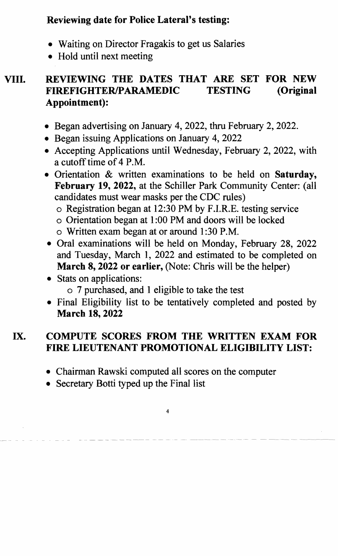## **Reviewing date for Police Lateral's testing:**

- Waiting on Director Fragakis to get us Salaries
- Hold until next meeting

## **VIII. REVIEWING THE DATES THAT ARE SET FOR NEW FIREFIGHTERIPARAMEDIC TESTING (Original Appointment):**

- Began advertising on January 4, 2022, thru February 2, 2022.
- Began issuing Applications on January 4, 2022
- Accepting Applications until Wednesday, February 2, 2022, with a cutoff time of 4 P.M.
- Orientation & written examinations to be held on **Saturday, February 19., 2022.,** at the Schiller Park Community Center: (all candidates must wear masks per the CDC rules)
	- o Registration began at 12:30 PM by F.I.R.E. testing service
	- o Orientation began at 1 :00 PM and doors will be locked
	- o Written exam began at or around 1 :30 P.M.
- Oral examinations will be held on Monday, February 28, 2022 and Tuesday, March 1, 2022 and estimated to be completed on **March 8, 2022 or earlier,** (Note: Chris will be the helper)
- Stats on applications:
	- o 7 purchased, and 1 eligible to take the test
- Final Eligibility list to be tentatively completed and posted by **March 18, 2022**

## **IX. COMPUTE SCORES FROM THE WRITTEN EXAM FOR FIRE LIEUTENANT PROMOTIONAL ELIGIBILITY LIST:**

• Chairman Rawski computed all scores on the computer

4

• Secretary Botti typed up the Final list